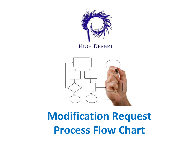

### **HIGH DESERT**



# **Modification Request Process Flow Chart**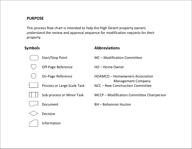#### <span id="page-1-0"></span>**PURPOSE**

This process flow chart is intended to help the High Desert property owners understand the review and approval sequence for modification requests for their property.

## **Symbols Abbreviations** Start/Stop Point MC – Modification Committee Off-Page Reference HO – Home Owner On-Page Reference HOAMCO – Homeowners Association Management Company Process or Large Scale Task NCC – New Construction Committee Sub-process or Minor Task MCCP – Modification Committee Chairperson Document BH – Bohannon Huston Decision Information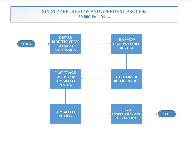#### **SIX-STEP MC REVIEW AND APPROVAL PROCESS 50,000 Foot View**

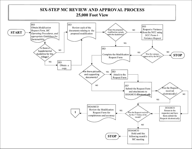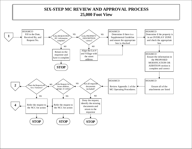#### **SIX-STEP MC REVIEW AND APPROVAL PROCESS 25,000 Foot View**

<span id="page-4-0"></span>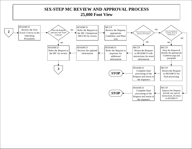<span id="page-5-0"></span>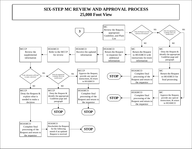#### **SIX-STEP MC REVIEW AND APPROVAL PROCESS 25,000 Foot View**

<span id="page-6-0"></span>